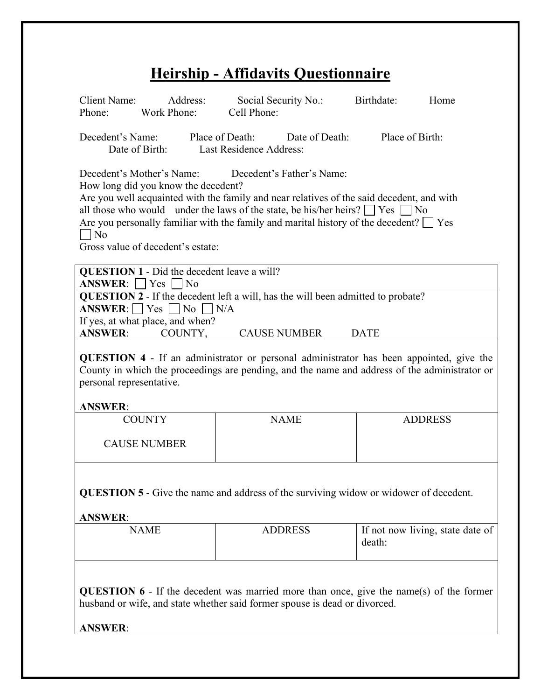# **Heirship - Affidavits Questionnaire**

| <b>Client Name:</b><br>Address:<br>Work Phone:<br>Phone:                                                                                                                                                                                                                                                                                                                                                                               | Social Security No.:<br>Cell Phone:                                              | Birthdate:<br>Home |  |  |  |  |  |  |
|----------------------------------------------------------------------------------------------------------------------------------------------------------------------------------------------------------------------------------------------------------------------------------------------------------------------------------------------------------------------------------------------------------------------------------------|----------------------------------------------------------------------------------|--------------------|--|--|--|--|--|--|
| Decedent's Name:<br>Place of Birth:<br>Place of Death:<br>Date of Death:<br>Last Residence Address:<br>Date of Birth:                                                                                                                                                                                                                                                                                                                  |                                                                                  |                    |  |  |  |  |  |  |
| Decedent's Mother's Name:<br>Decedent's Father's Name:<br>How long did you know the decedent?<br>Are you well acquainted with the family and near relatives of the said decedent, and with<br>all those who would under the laws of the state, be his/her heirs? $\Box$ Yes $\Box$ No<br>Are you personally familiar with the family and marital history of the decedent? $\Box$ Yes<br>$\Box$ No<br>Gross value of decedent's estate: |                                                                                  |                    |  |  |  |  |  |  |
| <b>QUESTION 1 - Did the decedent leave a will?</b><br>$ANSWER: \Box Yes$<br>l No                                                                                                                                                                                                                                                                                                                                                       |                                                                                  |                    |  |  |  |  |  |  |
|                                                                                                                                                                                                                                                                                                                                                                                                                                        | QUESTION 2 - If the decedent left a will, has the will been admitted to probate? |                    |  |  |  |  |  |  |
| ANSWER: $\Box$ Yes $\Box$ No $\Box$ N/A                                                                                                                                                                                                                                                                                                                                                                                                |                                                                                  |                    |  |  |  |  |  |  |
| If yes, at what place, and when?<br><b>ANSWER:</b><br>COUNTY,                                                                                                                                                                                                                                                                                                                                                                          | <b>CAUSE NUMBER</b>                                                              | <b>DATE</b>        |  |  |  |  |  |  |
|                                                                                                                                                                                                                                                                                                                                                                                                                                        |                                                                                  |                    |  |  |  |  |  |  |
| QUESTION 4 - If an administrator or personal administrator has been appointed, give the<br>County in which the proceedings are pending, and the name and address of the administrator or<br>personal representative.<br><b>ANSWER:</b>                                                                                                                                                                                                 |                                                                                  |                    |  |  |  |  |  |  |
| <b>COUNTY</b>                                                                                                                                                                                                                                                                                                                                                                                                                          | <b>NAME</b>                                                                      | <b>ADDRESS</b>     |  |  |  |  |  |  |
| <b>CAUSE NUMBER</b>                                                                                                                                                                                                                                                                                                                                                                                                                    |                                                                                  |                    |  |  |  |  |  |  |
| <b>QUESTION 5</b> - Give the name and address of the surviving widow or widower of decedent.                                                                                                                                                                                                                                                                                                                                           |                                                                                  |                    |  |  |  |  |  |  |

**ANSWER**:

| NAME | <b>ADDRESS</b> | If not now living, state date of<br>death: |
|------|----------------|--------------------------------------------|
|------|----------------|--------------------------------------------|

**QUESTION 6** - If the decedent was married more than once, give the name(s) of the former husband or wife, and state whether said former spouse is dead or divorced.

**ANSWER**: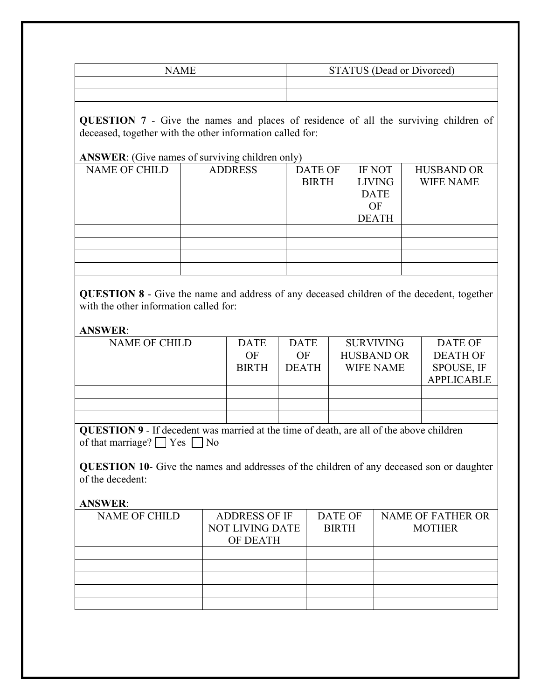| NAMF | STATUS (Dead or Divorced) |
|------|---------------------------|
|      |                           |
|      |                           |

**QUESTION 7** - Give the names and places of residence of all the surviving children of deceased, together with the other information called for:

### **ANSWER**: (Give names of surviving children only)

| <b>NAME OF CHILD</b> | <b>ADDRESS</b> | <b>DATE OF</b> | <b>IF NOT</b> | <b>HUSBAND OR</b> |
|----------------------|----------------|----------------|---------------|-------------------|
|                      |                | <b>BIRTH</b>   | <b>LIVING</b> | <b>WIFE NAME</b>  |
|                      |                |                | <b>DATE</b>   |                   |
|                      |                |                | OF            |                   |
|                      |                |                | <b>DEATH</b>  |                   |
|                      |                |                |               |                   |
|                      |                |                |               |                   |
|                      |                |                |               |                   |
|                      |                |                |               |                   |

**QUESTION 8** - Give the name and address of any deceased children of the decedent, together with the other information called for:

## **ANSWER**:

| <b>NAME OF CHILD</b> | <b>DATE</b>  | <b>DATE</b>  | <b>SURVIVING</b>  | <b>DATE OF</b>    |
|----------------------|--------------|--------------|-------------------|-------------------|
|                      | OF           | OF           | <b>HUSBAND OR</b> | <b>DEATH OF</b>   |
|                      | <b>BIRTH</b> | <b>DEATH</b> | <b>WIFE NAME</b>  | SPOUSE, IF        |
|                      |              |              |                   | <b>APPLICABLE</b> |
|                      |              |              |                   |                   |
|                      |              |              |                   |                   |
|                      |              |              |                   |                   |

**QUESTION 9** - If decedent was married at the time of death, are all of the above children of that marriage?  $\Box$  Yes  $\Box$  No

**QUESTION 10**- Give the names and addresses of the children of any deceased son or daughter of the decedent:

**ANSWER**:

| <b>NAME OF CHILD</b> | <b>ADDRESS OF IF</b>   | <b>DATE OF</b> | <b>NAME OF FATHER OR</b> |
|----------------------|------------------------|----------------|--------------------------|
|                      | <b>NOT LIVING DATE</b> | <b>BIRTH</b>   | <b>MOTHER</b>            |
|                      | OF DEATH               |                |                          |
|                      |                        |                |                          |
|                      |                        |                |                          |
|                      |                        |                |                          |
|                      |                        |                |                          |
|                      |                        |                |                          |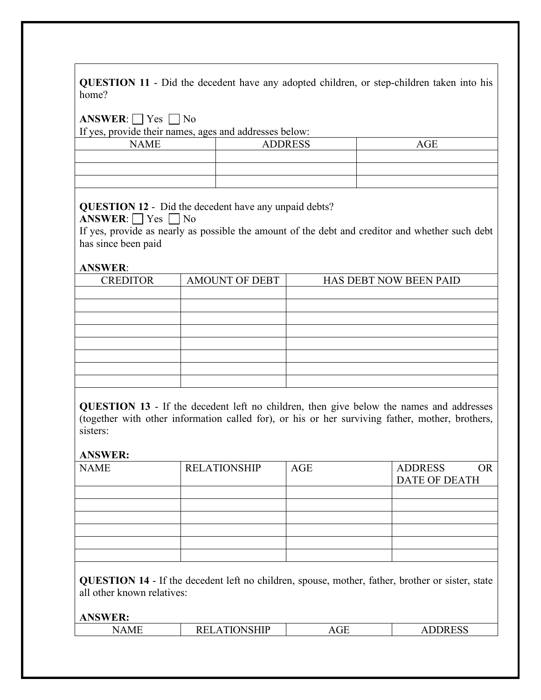| QUESTION 11 - Did the decedent have any adopted children, or step-children taken into his |  |  |  |  |  |  |
|-------------------------------------------------------------------------------------------|--|--|--|--|--|--|
| home?                                                                                     |  |  |  |  |  |  |

**ANSWER**:  $\Box$  Yes  $\Box$  No

If yes, provide their names, ages and addresses below:

| <b>NAME</b> | <b>ADDRESS</b> | AGE |
|-------------|----------------|-----|
|             |                |     |
|             |                |     |
|             |                |     |

# **QUESTION 12** - Did the decedent have any unpaid debts?

**ANSWER**:  $\Box$  Yes  $\Box$  No

If yes, provide as nearly as possible the amount of the debt and creditor and whether such debt has since been paid

### **ANSWER**:

| <b>CREDITOR</b> | <b>AMOUNT OF DEBT</b> | HAS DEBT NOW BEEN PAID |
|-----------------|-----------------------|------------------------|
|                 |                       |                        |
|                 |                       |                        |
|                 |                       |                        |
|                 |                       |                        |
|                 |                       |                        |
|                 |                       |                        |
|                 |                       |                        |
|                 |                       |                        |

**QUESTION 13** - If the decedent left no children, then give below the names and addresses (together with other information called for), or his or her surviving father, mother, brothers, sisters:

## **ANSWER:**

| <b>NAME</b> | <b>RELATIONSHIP</b> | AGE | <b>ADDRESS</b>       |
|-------------|---------------------|-----|----------------------|
|             |                     |     | <b>DATE OF DEATH</b> |
|             |                     |     |                      |
|             |                     |     |                      |
|             |                     |     |                      |
|             |                     |     |                      |
|             |                     |     |                      |
|             |                     |     |                      |

**QUESTION 14** - If the decedent left no children, spouse, mother, father, brother or sister, state all other known relatives:

**ANSWER:**